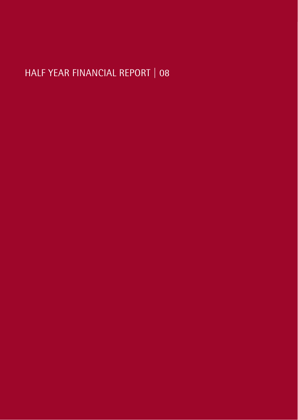# HALF YEAR FINANCIAL REPORT | 08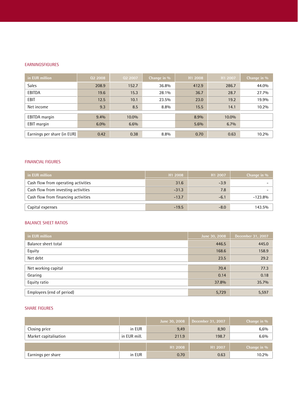#### EARNINGSFIGURES

| in EUR million              | 02 2008 | 02 2007 | Change in % | H1 2008 | H1 2007 | Change in % |
|-----------------------------|---------|---------|-------------|---------|---------|-------------|
| <b>Sales</b>                | 208.9   | 152.7   | 36.8%       | 412.9   | 286.7   | 44.0%       |
| EBITDA                      | 19.6    | 15.3    | 28.1%       | 36.7    | 28.7    | 27.7%       |
| EBIT                        | 12.5    | 10.1    | 23.5%       | 23.0    | 19.2    | 19.9%       |
| Net income                  | 9.3     | 8.5     | 8.8%        | 15.5    | 14.1    | 10.2%       |
| <b>EBITDA</b> margin        | 9.4%    | 10.0%   |             | 8.9%    | 10.0%   |             |
| <b>EBIT</b> margin          | 6.0%    | 6.6%    |             | 5.6%    | 6.7%    |             |
| Earnings per share (in EUR) | 0.42    | 0.38    | 8.8%        | 0.70    | 0.63    | 10.2%       |

#### FINANCIAL FIGURES

| in EUR million                      | H <sub>1</sub> 2008 | H <sub>1</sub> 2007 | Change in $\%$ |
|-------------------------------------|---------------------|---------------------|----------------|
| Cash flow from operating activities | 31.6                | $-3.9$              |                |
| Cash flow from investing activities | $-31.3$             | 7.8                 |                |
| Cash flow from financing activities | $-13.7$             | $-6.1$              | $-123.8%$      |
| Capital expenses                    | $-19.5$             | $-8.0$              | 143.5%         |

#### BALANCE SHEET RATIOS

| in EUR million            | June 30, 2008 | December 31, 2007 |
|---------------------------|---------------|-------------------|
| Balance sheet total       | 446.5         | 445.0             |
| Equity                    | 168.6         | 158.9             |
| Net debt                  | 23.5          | 29.2              |
| Net working capital       | 70.4          | 77.3              |
|                           |               |                   |
| Gearing                   | 0.14          | 0.18              |
| Equity ratio              | 37.8%         | 35.7%             |
|                           |               |                   |
| Employees (end of period) | 5,729         | 5,597             |

#### SHARE FIGURES

|                       |              | June 30, 2008       | December 31, 2007 | Change in % |
|-----------------------|--------------|---------------------|-------------------|-------------|
| Closing price         | in EUR       | 9,49                | 8,90              | 6,6%        |
| Market capitalisation | in EUR mill. | 211.9               | 198.7             | 6.6%        |
|                       |              | H <sub>1</sub> 2008 | H1 2007           | Change in % |
|                       |              |                     |                   |             |
| Earnings per share    | in EUR       | 0.70                | 0.63              | 10.2%       |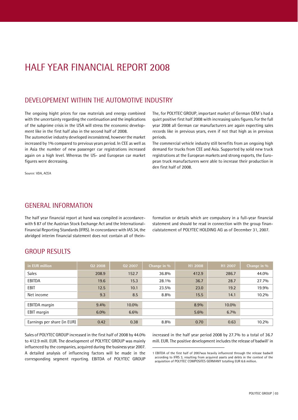# HALF YEAR FINANCIAL REPORT 2008

### DEVELOPEMENT WITHIN THE AUTOMOTIVE INDUSTRY

The ongoing hight prices for raw materials and energy combined with the uncertainty regarding the continuation and the implications of the subprime crisis in the USA will stress the economic develop ment like in the first half also in the second half of 2008.

The automotive industry developed inconsistend, however the market increased by 1% compared to previous years period. In CEE as well as in Asia the number of new passenger car registrations increased again on a high level. Whereas the US- and European car market figures were decreasing.

The, for POLYTEC GROUP, important market of German OEM's had a quiet positive first half 2008 with increasing sales figures. Forthe full year 2008 all German car manufacturers are again expecting sales records like in previous years, even if not that high as in previous periods.

The commercial vehicle industry still benefits from an ongoing high demand for trucks from CEE and Asia. Supported by solid new truck registrations at the European markets and strong exports, the Euro pean truck manufacturers were able to increase their production in den first half of 2008.

Source: VDA, ACEA

## GENERAL INFORMATION

The half year financial report at hand was compiled in accordance with ß 87 of the Austrian Stock Exchange Act and the International- Financial Reporting Standards (IFRS). In concordancewith IAS 34,the abridged interim financial statement does not contain all of theinformation or details which are compulsory in a full-year financial statement and should be read in connection with the group finan cialstatement of POLYTEC HOLDING AG as of December 31, 2007.

### **GROUP RESULTS**

| in EUR million              | 02 2008 | 02 2007 | Change in % | H1 2008 | H1 2007 | Change in % |
|-----------------------------|---------|---------|-------------|---------|---------|-------------|
| <b>Sales</b>                | 208.9   | 152.7   | 36.8%       | 412.9   | 286.7   | 44.0%       |
| EBITDA                      | 19.6    | 15.3    | 28.1%       | 36.7    | 28.7    | 27.7%       |
| <b>EBIT</b>                 | 12.5    | 10.1    | 23.5%       | 23.0    | 19.2    | 19.9%       |
| Net income                  | 9.3     | 8.5     | 8.8%        | 15.5    | 14.1    | 10.2%       |
| <b>EBITDA</b> margin        | 9.4%    | 10.0%   |             | 8.9%    | 10.0%   |             |
| <b>EBIT</b> margin          | $6.0\%$ | 6.6%    |             | $5.6\%$ | 6.7%    |             |
| Earnings per share (in EUR) | 0.42    | 0.38    | 8.8%        | 0.70    | 0.63    | 10.2%       |

Sales of POLYTEC GROUP increased in the first half of 2008 by 44.0% to 412.9 mill. EUR. The development of POLYTEC GROUP was mainly influenced by the companies, acquired during the business year 2007. A detailed analysis of influencing factors will be made in the corresponding segment reporting. EBITDA of POLYTEC GROUP increased in the half year period 2008 by 27.7% to a total of 36.7 mill. EUR. The positive development includes the release of badwill' in

1 EBITDA of the first half of 2007was heavily influenced through the release badwill according to IFRS 3, resulting from acquired assets and debts in the context of the acquisition of POLYTEC COMPOSITES GERMANY totalling EUR 6.6 million.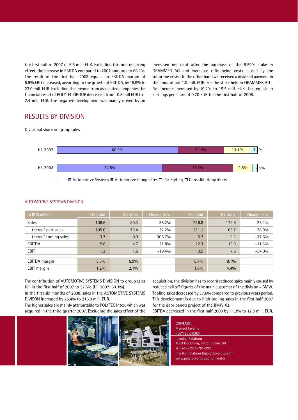the first half of 2007 of 6.6 mill. EUR. Excluding this non recurring effect, the increase in EBITDA compared to 2007 amounts to 66.1%. The result of the first half 2008 equals an EBITDA margin of 8.9%.EBIT increased, according to the growth of EBITDA, by 19.9% to 23.0 mill. EUR. Excluding the income from associated companies the financial result of POLYTEC GROUP decreased from -0.8 mill EUR to -2.4 mill. EUR. The negative development was mainly driven by an increased net debt after the purchase of the 9.59% stake in GRAMMER AG and increased refinancing costs caused by the subprime crisis. On the other hand we received a dividend payment in the amount aof 1.0 mill. EUR. For the stake held in GRAMMER AG Net income increased by 10.2% to 15.5 mill. EUR. This equals to earnings per share of 0.70 EUR for the first half of 2008.

### RESULTS BY DIVISION

Divisional share on group sales



 $\Box$  Automotive Systems  $\Box$  Automotive Composites  $\Box$  Car Styling  $\Box$  Consolidation/Others

| in EUR million        | 02 2008 | 02 2007 | Change in % | H1 2008 | H1 2007 | Change in % |
|-----------------------|---------|---------|-------------|---------|---------|-------------|
| <b>Sales</b>          | 108.6   | 80.3    | 35.2%       | 216.8   | 172.8   | 25.4%       |
| thereof part sales    | 105.0   | 79.4    | 32.2%       | 211.1   | 163.7   | 28.9%       |
| thereof tooling sales | 3.7     | 0.9     | 305.7%      | 5.7     | 9.1     | $-37.6%$    |
| EBITDA                | 5.8     | 4.7     | 21.8%       | 12.3    | 13.9    | $-11.3%$    |
| EBIT                  | 1.3     | 1.6     | $-19.4%$    | 3.5     | 7.6     | $-54.0%$    |
|                       |         |         |             |         |         |             |
| <b>EBITDA</b> margin  | 5.3%    | 5.9%    |             | $5.7\%$ | 8.1%    |             |
| EBIT margin           | $1.2\%$ | $2.1\%$ |             | 1.6%    | 4.4%    |             |

#### AUTOMOTIVE SYSTEMS DIVISION

The contribution of AUTOMOTIVE SYSTEMS DIVISION to group sales fell in the first half of 2007 to 52.5% (H1 2007: 60.3%).

In the first six months of 2008, sales in the AUTOMOTIVE SYSTEMS DIVISON increased by 25.4% to 216.8 mill. EUR.

The higher sales are mainly attributable to POLYTEC Intex, which was acquired in the third quarter 2007. Excluding the sales effect of the acquisition, the division has to record reduced sales mainly caused by reduced call off figures of the main customer of the division - BMW. Tooling sales decreased by 37.6% compared to previous years period. This development is due to high tooling sales in the first half 2007 for the door panels project of the BMW X3.

EBITDA decreased in the first half 2008 by 11.3% to 12.3 mill. EUR.



**CONTACT:**Manuel Taverne POLYTEC GROUP Investor Relations 4063 Hörsching, Linzer Strasse 50 Tel: +43-7221-701-292 [Investor.relations@polytec-group.com](mailto:Investor.relations@polytec-group.com) [www.polytec-group.com/investor](http://www.polytec-group.com/investor)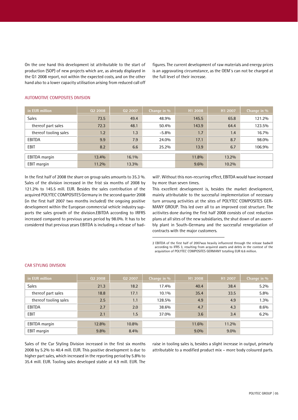On the one hand this development ist attributable to the start of production (SOP) of new projects which are, as already displayed in the Q1 2008 report, not within the expected costs, and on the other hand also to a lower capacity utilisation arising from reduced call off figures. The current development of raw materials and energy prices is an aggravating circumstance, as the OEM's can not be charged at the full level of their increase.

| in EUR million        | 02 2008 | 02 2007 | Change in % | H1 2008 | H1 2007 | Change in % |
|-----------------------|---------|---------|-------------|---------|---------|-------------|
| <b>Sales</b>          | 73.5    | 49.4    | 48.9%       | 145.5   | 65.8    | 121.2%      |
| thereof part sales    | 72.3    | 48.1    | 50.4%       | 143.9   | 64.4    | 123.5%      |
| thereof tooling sales | 1.2     | 1.3     | $-5.8\%$    | 1.7     | 1.4     | 16.7%       |
| EBITDA                | 9.9     | 7.9     | 24.0%       | 17.1    | 8.7     | 98.0%       |
| EBIT                  | 8.2     | 6.6     | 25.2%       | 13.9    | 6.7     | 106.9%      |
| <b>EBITDA</b> margin  | 13.4%   | 16.1%   |             | 11.8%   | 13.2%   |             |
|                       |         |         |             |         |         |             |
| EBIT margin           | 11.2%   | 13.3%   |             | 9.6%    | 10.2%   |             |

#### AUTOMOTIVE COMPOSITES DIVISION

In the first half of 2008 the share on group sales amounts to 35.3 %. Sales of the division increased in the frist six months of 2008 by 121.2% to 145.5 mill. EUR. Besides the sales contribution of the acquired POLYTEC COMPOSITES Germany in the second quarter 2008 (in the first half 2007 two months included) the ongoing positive development within the European commercial vehicle industry sup ports the sales growth of the division.EBITDA according to IRFRS increased compared to previous years period by 98.0%. It has to be considered that previous years EBITDA is including a release of bad-

will<sup>2</sup>. Without this non-recurring effect, EBITDA would have increased by more than seven times.

This excellent development is, besides the market development, mainly attributable to the successful implementation of necessary turn arroung activities at the sites of POLYTEC COMPOSITES GER- MANY GROUP. This led over all to an improved cost structure. The acitivites done during the first half 2008 consists of cost reduction plans at all sites of the new subsidiaries, the shut down of an assem bly plant in South-Germany and the successful renegotiation of contracts with the major customers.

2 EBITDA of the first half of 2007was heavily influenced through the release badwill according to IFRS 3, resulting from acquired assets and debts in the context of the acquisition of POLYTEC COMPOSITES GERMANY totalling EUR 6.6 million.

| in EUR million        | 02 2008 | 02 2007 | Change in % | H1 2008 | H1 2007 | Change in % |
|-----------------------|---------|---------|-------------|---------|---------|-------------|
| <b>Sales</b>          | 21.3    | 18.2    | 17.4%       | 40.4    | 38.4    | 5.2%        |
| thereof part sales    | 18.8    | 17.1    | 10.1%       | 35.4    | 33.5    | 5.8%        |
| thereof tooling sales | 2.5     | 1.1     | 128.5%      | 4.9     | 4.9     | 1.3%        |
| EBITDA                | 2.7     | 2.0     | 38.6%       | 4.7     | 4.3     | 8.6%        |
| <b>EBIT</b>           | 2.1     | 1.5     | 37.0%       | 3.6     | 3.4     | 6.2%        |
| <b>EBITDA</b> margin  | 12.8%   | 10.8%   |             | 11.6%   | 11.2%   |             |
|                       |         |         |             |         |         |             |
| <b>EBIT</b> margin    | 9.8%    | 8.4%    |             | 9.0%    | $9.0\%$ |             |

#### CAR STYLING DIVISION

Sales of the Car Styling Division increased in the first six months 2008 by 5.2% to 40.4 mill. EUR. This positive development is due to higher part sales, which increased in the reporting period by 5.8% to 35.4 mill. EUR. Tooling sales developed stable at 4.9 mill. EUR. The raise in tooling sales is, besides a slight increase in output, primarly attributable to a modified product mix - more body coloured parts.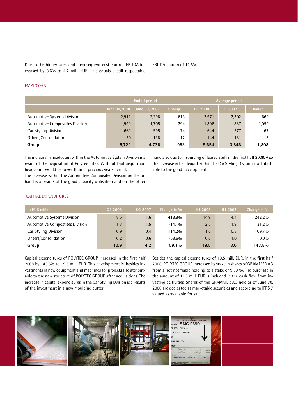Due to the higher sales and a consequent cost control, EBITDA in- creased by 8.6%.<br>Creased by 8.6% to 4.7 mill. EUR. This equals a still respectable

#### **EMPLOYEES**

|                                    |              | End of period |        | Average period      |         |        |  |
|------------------------------------|--------------|---------------|--------|---------------------|---------|--------|--|
|                                    | June 30,2008 | June 30, 2007 | Change | H <sub>1</sub> 2008 | H1 2007 | Change |  |
| <b>Automotive Systems Division</b> | 2,911        | 2,298         | 613    | 2,971               | 2,302   | 669    |  |
| Automotive Compostites Division    | 1,999        | 1,705         | 294    | 1,896               | 837     | 1,059  |  |
| Car Styling Division               | 669          | 595           | 74     | 644                 | 577     | 67     |  |
| Others/Consolidation               | 150          | 138           | 12     | 144                 | 131     | 13     |  |
| Group                              | 5,729        | 4,736         | 993    | 5,654               | 3,846   | 1,808  |  |

The increase in headcount within the Automotive System Division is a result of the acquisition of Polytec Intex. Without that acquisition headcount would be lower than in previous years period. The increase within the Automotive Composites Division on the on hand is a results of the good capacity utilisation and on the other hand also due to insourcing of leased stuff in the first half 2008. Also the increase in headcount within the Car Styling Division is attribut able to the good development.

#### CAPITAL EXPENDITURES

| in EUR million                     | Q <sub>2</sub> 2008 | 02 2007 | Change in % | H <sub>1</sub> 2008 | H1 2007 | Change in % |
|------------------------------------|---------------------|---------|-------------|---------------------|---------|-------------|
| <b>Automotive Systems Division</b> | 8.5                 | 1.6     | 418.8%      | 14.9                | 4.4     | 242.2%      |
| Automotive Compostites Division    | 1.3                 | 1.5     | $-14.1%$    | 2.5                 | 1.9     | 31.2%       |
| Car Styling Division               | 0.9                 | 0.4     | 114.2%      | 1.6                 | 0.8     | 109.7%      |
| Ohters/Consolidation               | 0.2                 | 0.6     | $-68.6%$    | 0.6                 | 1.0     | $0.0\%$     |
| Group                              | 10.9                | 4.2     | 159.1%      | 19.5                | 8.0     | 143.5%      |

Capital expenditures of POLYTEC GROUP increased in the first half 2008 by 143.5% to 19.5 mill. EUR. This development is, besides in vestments in new equipment and machines for projects also attribut able to the new structure of POLYTEC GROUP after acquisitions. The increase in capital expenditures in the Car Styling Dvision is a results of the investment in a new moulding cutter.

Besides the capital expenditures of 19.5 mill. EUR. in the first half 2008, POLYTEC GROUP increased its stake in shares of GRAMMER AG from a not notifiable holding to a stake of 9.59 %. The purchase in the amount of 11.3 mill. EUR is included in the cash flow from in vesting acitivities. Shares of the GRAMMER AG held as of June 30, 2008 are dedicated as marketable securities and according to IFRS 7 valued as available for sale.

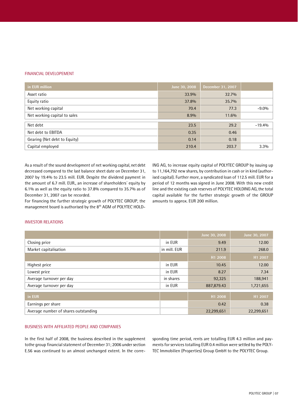#### FINANCIAL DEVELOPEMENT

| in EUR million               | June 30, 2008 | December 31, 2007 |          |
|------------------------------|---------------|-------------------|----------|
| Asset ratio                  | 33.9%         | 32.7%             |          |
| Equity ratio                 | 37.8%         | 35.7%             |          |
| Net working capital          | 70.4          | 77.3              | $-9.0\%$ |
| Net working capital to sales | 8.9%          | 11.6%             |          |
| Net debt                     | 23.5          | 29.2              | $-19.4%$ |
| Net debt to EBITDA           | 0.35          | 0.46              |          |
| Gearing (Net debt to Equity) | 0.14          | 0.18              |          |
| Capital employed             | 210.4         | 203.7             | 3.3%     |

As a result of the sound development of net working capital, net debt decreased compared to the last balance sheet date on December 31, 2007 by 19.4% to 23.5 mill. EUR. Despite the dividend payment in the amount of 6.7 mill. EUR., an increase of shareholders' equity by 6.1% as well as the equity ratio to 37.8% compared to 35.7% as of December 31, 2007 can be recorded.

For financing the further strategic growth of POLYTEC GROUP, the management board is authorised by the 8<sup>th</sup> AGM of POLYTEC HOLD-

ING AG, to increase equity capital of POLYTEC GROUP by issuing up to 11,164,792 new shares, by contribution in cash or in kind (authorised capital). Further more, a syndicated loan of 112.5 mill. EUR for a period of 12 months was signed in June 2008. With this new credit line and the existing cash reserves of POLYTEC HOLDING AG, the total capital available for the further strategic growth of the GROUP amounts to approx. EUR 200 million.

#### INVESTOR RELATIONS

|                                      |              | June 30, 2008       | June 30, 2007 |
|--------------------------------------|--------------|---------------------|---------------|
| Closing price                        | in EUR       | 9.49                | 12.00         |
| Market capitalisation                | in mill. EUR | 211.9               | 268.0         |
|                                      |              | H1 2008             | H1 2007       |
| Highest price                        | in EUR       | 10.45               | 12.00         |
| Lowest price                         | in EUR       | 8.27                | 7.34          |
| Average turnover per day             | in shares    | 92,325              | 188,941       |
| Average turnover per day             | in EUR       | 887,879.43          | 1,721,655     |
| in EUR                               |              | H <sub>1</sub> 2008 |               |
|                                      |              |                     | H1 2007       |
| Earnings per share                   |              | 0.42                | 0.38          |
| Average number of shares outstanding |              | 22,299,651          | 22,299,651    |

#### BUSINESS WITH AFFILIATED PEOPLE AND COMPANIES

In the first half of 2008, the business described in the supplement tothe group financial statement of December 31; 2006 under section E.56 was continued to an almost unchanged extent. In the corresponding time period, rents are totalling EUR 4.3 million and pay ments for services totalling EUR 0.4 million were settled by the POLY-TEC Immobilien (Properties) Group GmbH to the POLYTEC Group.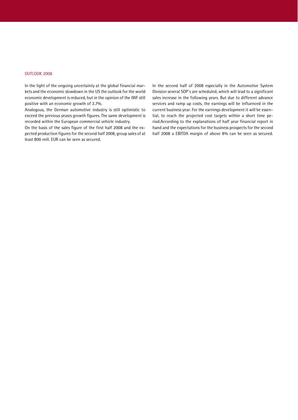#### OUTLOOK 2008

In the light of the ongoing uncertainty at the global financial mar kets and the economic slowdown in the US the outlook for the world economic development is reduced, but in the opinion of the IWF still positive with an economic growth of 3.7%.

Analogous, the German automotive industry is still optimistic to exceed the previous yeasrs growth figures. The same development is recorded within the European commercial vehicle industry.

On the basis of the sales figure of the first half 2008 and the ex pected production figures for the second half 2008, group sales of at least 800 mill. EUR can be seen as secured.

In the second half of 2008 especially in the Automotive System Division several SOP's are scheduled, which will lead to a significant sales increase in the following years. But due to different advance services and ramp up costs, the earnings will be influenced in the current business year. For the earnings development it will be essential, to reach the projected cost targets within a short time period.According to the explanations of half year financial report in hand and the expectations for the business prospects for the second half 2008 a EBITDA margin of above 8% can be seen as secured.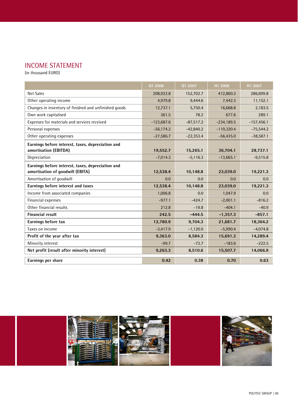# INCOME STATEMENT

(in thousand EURO)

|                                                                                       | Q1 2008      | Q1 2007     | H1 2008      | H1 2007      |
|---------------------------------------------------------------------------------------|--------------|-------------|--------------|--------------|
| Net Sales                                                                             | 208,922.8    | 152,702.7   | 412,860.3    | 286,699.8    |
| Other operating income                                                                | 4,979.8      | 9,444.6     | 7,442.3      | 11,152.1     |
| Changes in inventory of finished and unfinished goods                                 | 12,737.1     | 5,750.4     | 16,668.8     | 2,183.5      |
| Own work capitalised                                                                  | 361.5        | 78.2        | 677.6        | 289.1        |
| Expenses for materials and services received                                          | $-123,687.6$ | $-87,517.2$ | $-234,189.5$ | $-157,456.1$ |
| Personal expenses                                                                     | $-56, 174.2$ | $-42,840.2$ | $-110,320.4$ | $-75,544.2$  |
| Other operating expenses                                                              | $-27,586.7$  | $-22,353.4$ | $-56,435.0$  | $-38,587.1$  |
| Earnings before interest, taxes, depreciation and                                     |              |             |              |              |
| amortisation (EBITDA)                                                                 | 19,552.7     | 15,265.1    | 36,704.1     | 28,737.1     |
| Depreciation                                                                          | $-7,014.3$   | $-5,116.3$  | $-13,665.1$  | $-9,515.8$   |
| Earnings before interest, taxes, depreciation and<br>amortisation of goodwill (EBITA) | 12,538.4     | 10,148.8    | 23,039.0     | 19,221.3     |
| Amortisation of goodwill                                                              | 0.0          | 0.0         | 0.0          | 0.0          |
| Earnings before interest and taxes                                                    | 12,538.4     | 10,148.8    | 23,039.0     | 19,221.3     |
| Income from associated companies                                                      | 1,006.8      | 0.0         | 1,047.9      | 0.0          |
| Financial expenses                                                                    | $-977.1$     | $-424.7$    | $-2,001.1$   | $-816.2$     |
| Other financial results                                                               | 212.8        | $-19.8$     | $-404.1$     | $-40.9$      |
| <b>Financial result</b>                                                               | 242.5        | $-444.5$    | $-1,357.3$   | $-857.1$     |
| Earnings before tax                                                                   | 12,780.9     | 9,704.3     | 21,681.7     | 18,364.2     |
| Taxes on income                                                                       | $-3,417.9$   | $-1,120.0$  | $-5,990.4$   | $-4.074.8$   |
| Profit of the year after tax                                                          | 9,363.0      | 8,584.3     | 15,691.3     | 14,289.4     |
| Minority interest                                                                     | $-99.7$      | $-73.7$     | $-183.6$     | $-222.5$     |
| Net profit (result after minority interest)                                           | 9,263.3      | 8,510.6     | 15,507.7     | 14,066.9     |
| Earnings per share                                                                    | 0.42         | 0.38        | 0.70         | 0.63         |

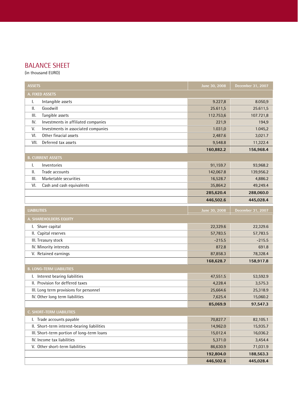# BALANCE SHEET

(in thousand EURO)

| <b>ASSETS</b>                               | June 30, 2008 | December 31, 2007 |
|---------------------------------------------|---------------|-------------------|
| A. FIXED ASSETS                             |               |                   |
| Intangible assets<br>I.                     | 9.227,8       | 8.050,9           |
| Goodwill<br>Ш.                              | 25.611,5      | 25.611,5          |
| Tangible assets<br>III.                     | 112.753,6     | 107.721,8         |
| IV.<br>Investments in affiliated companies  | 221,9         | 194,9             |
| V.<br>Investments in associated companies   | 1.031,0       | 1.045,2           |
| Other finacial assets<br>VI.                | 2,487.6       | 3,021.7           |
| Deferred tax assets<br>VII.                 | 9,548.8       | 11,322.4          |
|                                             | 160,882.2     | 156,968.4         |
| <b>B. CURRENT ASSETS</b>                    |               |                   |
| Inventories<br>Ι.                           | 91,159.7      | 93,968.2          |
| Ш.<br>Trade accounts                        | 142,067.8     | 139,956.2         |
| Marketable securities<br>III.               | 16,528.7      | 4,886.2           |
| VI.<br>Cash and cash equivalents            | 35,864.2      | 49,249.4          |
|                                             | 285,620.4     | 288,060.0         |
|                                             | 446,502.6     | 445,028.4         |
| <b>LIABILITIES</b>                          | June 30, 2008 | December 31, 2007 |
| A. SHAREHOLDERS EQUITY                      |               |                   |
| I. Share capital                            | 22,329.6      | 22,329.6          |
| II. Capital reserves                        | 57,783.5      | 57,783.5          |
| III. Treasury stock                         | $-215.5$      | $-215.5$          |
| IV. Minority interests                      | 872.8         | 691.8             |
| V. Retained earnings                        | 87,858.3      | 78,328.4          |
|                                             | 168,628.7     | 158,917.8         |
| <b>B. LONG-TERM LIABILITIES</b>             |               |                   |
| I. Interest bearing liabilities             | 47,551.5      | 53,592.9          |
| II. Provision for deffered taxes            | 4,228.4       | 3,575.3           |
| III. Long term provisions for personnel     | 25,664.6      | 25,318.9          |
| IV. Other long term liabilities             | 7,625.4       | 15,060.2          |
|                                             | 85,069.9      | 97,547.3          |
| C. SHORT-TERM LIABILITIES                   |               |                   |
| I. Trade accounts payable                   | 70,827.7      | 82,105.1          |
| II. Short-term interest-bearing liabilities | 14,962.0      | 15,935.7          |
| III. Short-term portion of long-term loans  | 15,012.4      | 16,036.2          |
| IV. Income tax liabilities                  | 5,371.0       | 3,454.4           |
| V. Other short-term liabilities             | 86,630.9      | 71,031.9          |
|                                             | 192,804.0     | 188,563.3         |
|                                             | 446,502.6     | 445,028.4         |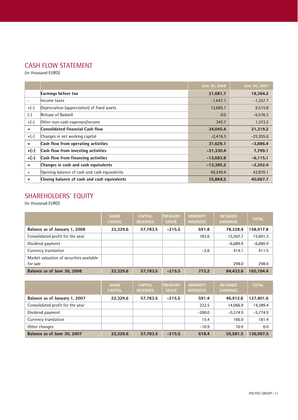# CASH FLOW STATEMENT

(in thousand EURO)

|                          |                                              | June 30, 2008 | June 30, 2007 |
|--------------------------|----------------------------------------------|---------------|---------------|
|                          | Earnings before tax                          | 21,681.7      | 18,364.2      |
| $\overline{\phantom{a}}$ | Income taxes                                 | $-1,647.1$    | $-1,357.7$    |
| $+(-)$                   | Depreciation (appreciation) of fixed assets  | 13,665.1      | 9,515.8       |
| $(-)$                    | Release of Badwill                           | 0.0           | $-6,576.3$    |
| $+(-)$                   | Other non-cash expenses/income               | 345.7         | 1,373.2       |
| $=$                      | <b>Consolidated financial Cash flow</b>      | 34,045.4      | 21,319.2      |
| $+(-)$                   | Changes in net working capital               | $-2,416.3$    | $-25,205.6$   |
| $=$                      | Cash flow from operating activities          | 31,629.1      | $-3,886.4$    |
| $+(-)$                   | Cash flow from investing activities          | $-31,330.4$   | 7,799.1       |
| $+(-)$                   | Cash flow from financing activities          | $-13,683.9$   | $-6,115.1$    |
| $=$                      | Changes in cash and cash equivalents         | $-13,385.2$   | $-2,202.4$    |
| $^{+}$                   | Opening balance of cash and cash equivalents | 49,249.4      | 42,870.1      |
| $=$                      | Closing balance of cash and cash equivalents | 35,864.2      | 40,667.7      |

# SHAREHOLDERS' EQUITY

(in thousnad EURO)

|                                                      | <b>SHARE</b><br><b>CAPITAL</b> | <b>CAPITAL</b><br><b>RESERVES</b> | <b>TREASURY</b><br><b>STOCK</b> | <b>MINORITY</b><br><b>INTERESTS</b> | <b>RETAINED</b><br><b>EARNINGS</b> | <b>TOTAL</b> |
|------------------------------------------------------|--------------------------------|-----------------------------------|---------------------------------|-------------------------------------|------------------------------------|--------------|
| Balance as of January 1, 2008                        | 22,329.6                       | 57,783.5                          | $-215.5$                        | 691.8                               | 78,328.4                           | 158,917.8    |
| Consolidated profit for the year                     |                                |                                   |                                 | 183.6                               | 15,507.7                           | 15,691.3     |
| Dividend payment                                     |                                |                                   |                                 |                                     | $-6.689.9$                         | $-6,689.9$   |
| Currency translation                                 |                                |                                   |                                 | $-2.6$                              | 414.1                              | 411.5        |
| Market valuation of securities available<br>for sale |                                |                                   |                                 |                                     | 298.0                              | 298.0        |
| Balance as of June 30, 2008                          | 22,329.6                       | 57,783.5                          | $-215.5$                        | 773.2                               | 84.433.6                           | 165.104.4    |

|                                  | <b>SHARE</b><br><b>CAPITAL</b> | <b>CAPITAL</b><br><b>RESERVES</b> | <b>TREASURY</b><br><b>STOCK</b> | <b>MINORITY</b><br><b>INTERESTS</b> | <b>RETAINED</b><br><b>EARNINGS</b> | <b>TOTAL</b> |
|----------------------------------|--------------------------------|-----------------------------------|---------------------------------|-------------------------------------|------------------------------------|--------------|
| Balance as of January 1, 2007    | 22,329.6                       | 57,783.5                          | $-215.5$                        | 591.4                               | 46.912.6                           | 127.401.6    |
| Consolidated profit for the year |                                |                                   |                                 | 222.5                               | 14,066.9                           | 14,289.4     |
| Dividend payment                 |                                |                                   |                                 | $-200.0$                            | $-5.574.9$                         | $-5,774.9$   |
| Currency translation             |                                |                                   |                                 | 15.4                                | 166.0                              | 181.4        |
| Other changes                    |                                |                                   |                                 | $-10.9$                             | 10.9                               | 0.0          |
| Balance as of June 30, 2007      | 22,329.6                       | 57.783.5                          | $-215.5$                        | 618.4                               | 55.581.5                           | 136.097.5    |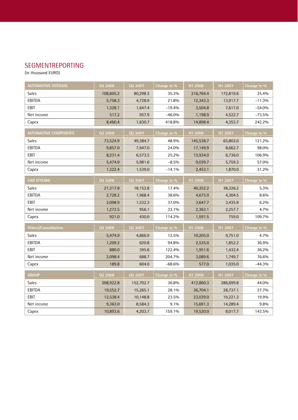# SEGMENTREPORTING

(in thousand EURO)

| <b>AUTOMOTIVE SYSTEMS</b>    | 02 2008        | 02 2007   | Change in % | H1 2008   | H1 2007   | Change in % |
|------------------------------|----------------|-----------|-------------|-----------|-----------|-------------|
| Sales                        | 108,605.2      | 80,298.3  | 35.3%       | 216,764.4 | 172,819.6 | 25.4%       |
| EBITDA                       | 5,758.3        | 4,728.9   | 21.8%       | 12,343.3  | 13,917.7  | $-11.3%$    |
| EBIT                         | 1,328.1        | 1,647.4   | $-19.4%$    | 3,504.8   | 7,617.0   | $-54.0%$    |
| Net income                   | 517.2          | 957.9     | $-46.0%$    | 1,198.9   | 4,522.7   | $-73.5%$    |
| Capex                        | 8,460.4        | 1,630.7   | 418.8%      | 14,898.4  | 4,353.7   | 242.2%      |
| <b>AUTOMOTIVE COMPOSITES</b> | 02 2008        | 02 2007   | Change in % | H1 2008   | H1 2007   | Change in % |
| Sales                        | 73,524.9       | 49,384.7  | 48.9%       | 145,538.7 | 65,803.0  | 121.2%      |
| EBITDA                       | 9,857.0        | 7,947.0   | 24.0%       | 17,149.9  | 8,662.7   | 98.0%       |
| EBIT                         | 8,231.4        | 6,573.5   | 25.2%       | 13,934.9  | 6,736.0   | 106.9%      |
| Net income                   | 5,474.9        | 5,981.6   | $-8.5%$     | 9,039.7   | 5,759.3   | 57.0%       |
| Capex                        | 1,322.4        | 1,539.0   | $-14.1%$    | 2,453.1   | 1,870.0   | 31.2%       |
| <b>CAR STYLING</b>           | 02 2008        | 02 2007   | Change in % | H1 2008   | H1 2007   | Change in % |
| Sales                        | 21,317.8       | 18,152.8  | 17.4%       | 40,352.2  | 38,326.2  | 5.3%        |
| <b>EBITDA</b>                | 2,728.2        | 1,968.4   | 38.6%       | 4,675.9   | 4,304.5   | 8.6%        |
| EBIT                         | 2,098.9        | 1,532.3   | 37.0%       | 3,647.7   | 3,435.9   | 6.2%        |
| Net income                   | 1,272.5        | 956.1     | 33.1%       | 2,363.1   | 2,257.7   | 4.7%        |
| Capex                        | 921.0          | 430.0     | 114.2%      |           | 759.0     | 109.7%      |
|                              |                |           |             | 1,591.5   |           |             |
| <b>Others/Consolidation</b>  | <b>Q2 2008</b> | 02 2007   | Change in % | H1 2008   | H1 2007   | Change in % |
| Sales                        | 5,474.9        | 4,866.9   | 12.5%       | 10,205.0  | 9,751.0   | 4.7%        |
| EBITDA                       | 1,209.2        | 620.8     | 94.8%       | 2,535.0   | 1,852.2   | 36.9%       |
| EBIT                         | 880.0          | 395.6     | 122.4%      | 1,951.6   | 1,432.4   | 36.2%       |
| Net income                   | 2,098.4        | 688.7     | 204.7%      | 3,089.6   | 1,749.7   | 76.6%       |
| Capex                        | 189.8          | 604.0     | $-68.6%$    | 577.0     | 1,035.0   | $-44.3%$    |
| <b>GROUP</b>                 | 02 2008        | 02 2007   | Change in % | H1 2008   | H1 2007   | Change in % |
| <b>Sales</b>                 | 208,922.8      | 152,702.7 | 36.8%       | 412,860.3 | 286,699.8 | 44.0%       |
| EBITDA                       | 19,552.7       | 15,265.1  | 28.1%       | 36,704.1  | 28,737.1  | 27.7%       |
| EBIT                         | 12,538.4       | 10,148.8  | 23.5%       | 23,039.0  | 19,221.3  | 19.9%       |
| Net income                   | 9,363.0        | 8,584.3   | 9.1%        | 15,691.3  | 14,289.4  | 9.8%        |
| Capex                        | 10,893.6       | 4,203.7   | 159.1%      | 19,520.0  | 8,017.7   | 143.5%      |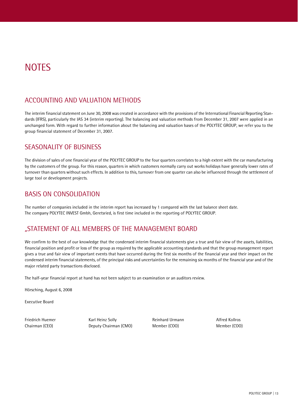# **NOTES**

# ACCOUNTING AND VALUATION METHODS

The interim financial statement on June 30, 2008 was created in accordance with the provisions of the International Financial Reporting Stan dards (IFRS), particularly the IAS 34 (interim reporting). The balancing and valuation methods from December 31, 2007 were applied in an unchanged form. With regard to further information about the balancing and valuation bases of the POLYTEC GROUP, we refer you to the group financial statement of December 31, 2007.

# SEASONALITY OF BUSINESS

The division of sales of one financial year of the POLYTEC GROUP to the four quarters correlates to a high extent with the car manufacturing by the customers of the group. For this reason, quarters in which customers normally carry out works holidays have generally lower rates of turnover than quarters without such effects. In addition to this, turnover from one quarter can also be influenced through the settlement of large tool or development projects.

# BASIS ON CONSOLIDATION

The number of companies included in the interim report has increased by 1 compared with the last balance sheet date. The company POLYTEC INVEST Gmbh, Geretsried, is first time included in the reporting of POLYTEC GROUP.

# *Ñ*STATEMENT OF ALL MEMBERS OF THE MANAGEMENT BOARD

We confirm to the best of our knowledge that the condensed interim financial statements give a true and fair view of the assets, liabilities, financial position and profit or loss of the group asrequired by the applicable accounting standards and that the group management report gives a true and fair view of important events that have occurred during the first six months of the financial year and their impact on the condensed interim financial statements, of the principal risks and uncertainties for the remaining six months of the financial year and of the major related party transactions disclosed.

The half-year financial report at hand has not been subject to an examination or an auditors review.

Hörsching, August 6, 2008

Executive Board

Friedrich Huemer **Karl Heinz Solly** Reinhard Urmann **Alfred Kollros** Reinhard Urmann Chairman (CEO) Deputy Chairman (CMO) Member (COO) Member (COO)